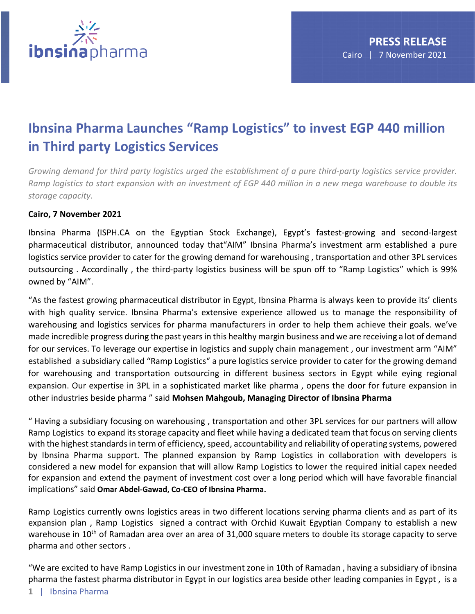

## **Ibnsina Pharma Launches "Ramp Logistics" to invest EGP 440 million in Third party Logistics Services**

*Growing demand for third party logistics urged the establishment of a pure third-party logistics service provider. Ramp logistics to start expansion with an investment of EGP 440 million in a new mega warehouse to double its storage capacity.*

## **Cairo, 7 November 2021**

Ibnsina Pharma (ISPH.CA on the Egyptian Stock Exchange), Egypt's fastest-growing and second-largest pharmaceutical distributor, announced today that"AIM" Ibnsina Pharma's investment arm established a pure logistics service provider to cater for the growing demand for warehousing , transportation and other 3PL services outsourcing . Accordinally , the third-party logistics business will be spun off to "Ramp Logistics" which is 99% owned by "AIM".

"As the fastest growing pharmaceutical distributor in Egypt, Ibnsina Pharma is always keen to provide its' clients with high quality service. Ibnsina Pharma's extensive experience allowed us to manage the responsibility of warehousing and logistics services for pharma manufacturers in order to help them achieve their goals. we've made incredible progress during the past yearsin this healthy margin business and we are receiving a lot of demand for our services. To leverage our expertise in logistics and supply chain management , our investment arm "AIM" established a subsidiary called "Ramp Logistics" a pure logistics service provider to cater for the growing demand for warehousing and transportation outsourcing in different business sectors in Egypt while eying regional expansion. Our expertise in 3PL in a sophisticated market like pharma , opens the door for future expansion in other industries beside pharma " said **Mohsen Mahgoub, Managing Director of Ibnsina Pharma**

" Having a subsidiary focusing on warehousing , transportation and other 3PL services for our partners will allow Ramp Logistics to expand its storage capacity and fleet while having a dedicated team that focus on serving clients with the highest standards in term of efficiency, speed, accountability and reliability of operating systems, powered by Ibnsina Pharma support. The planned expansion by Ramp Logistics in collaboration with developers is considered a new model for expansion that will allow Ramp Logistics to lower the required initial capex needed for expansion and extend the payment of investment cost over a long period which will have favorable financial implications" said **Omar Abdel-Gawad, Co-CEO of Ibnsina Pharma.**

Ramp Logistics currently owns logistics areas in two different locations serving pharma clients and as part of its expansion plan , Ramp Logistics signed a contract with Orchid Kuwait Egyptian Company to establish a new warehouse in 10<sup>th</sup> of Ramadan area over an area of 31,000 square meters to double its storage capacity to serve pharma and other sectors .

"We are excited to have Ramp Logistics in our investment zone in 10th of Ramadan , having a subsidiary of ibnsina pharma the fastest pharma distributor in Egypt in our logistics area beside other leading companies in Egypt , is a